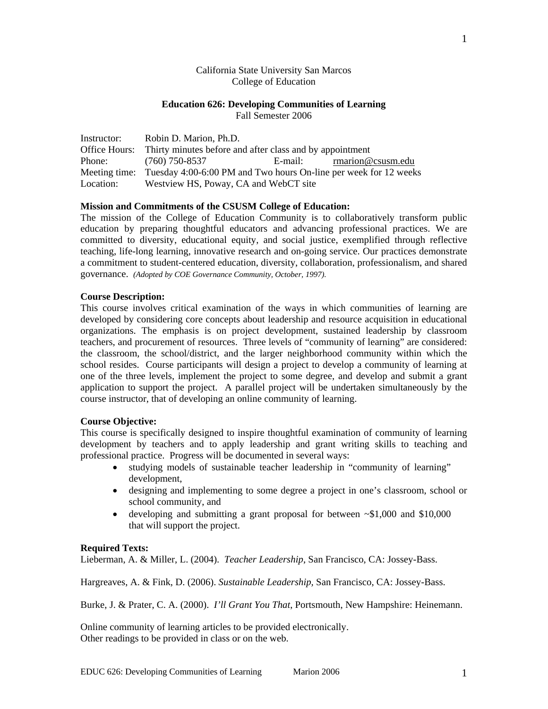# California State University San Marcos College of Education

# **Education 626: Developing Communities of Learning**

Fall Semester 2006

| Instructor: | Robin D. Marion, Ph.D.                                                         |  |                          |  |
|-------------|--------------------------------------------------------------------------------|--|--------------------------|--|
|             | Office Hours: Thirty minutes before and after class and by appointment         |  |                          |  |
|             | Phone: (760) 750-8537                                                          |  | E-mail: marion@csusm.edu |  |
|             | Meeting time: Tuesday 4:00-6:00 PM and Two hours On-line per week for 12 weeks |  |                          |  |
| Location:   | Westview HS, Poway, CA and WebCT site                                          |  |                          |  |

# **Mission and Commitments of the CSUSM College of Education:**

The mission of the College of Education Community is to collaboratively transform public education by preparing thoughtful educators and advancing professional practices. We are committed to diversity, educational equity, and social justice, exemplified through reflective teaching, life-long learning, innovative research and on-going service. Our practices demonstrate a commitment to student-centered education, diversity, collaboration, professionalism, and shared governance. *(Adopted by COE Governance Community, October, 1997).* 

# **Course Description:**

This course involves critical examination of the ways in which communities of learning are developed by considering core concepts about leadership and resource acquisition in educational organizations. The emphasis is on project development, sustained leadership by classroom teachers, and procurement of resources. Three levels of "community of learning" are considered: the classroom, the school/district, and the larger neighborhood community within which the school resides. Course participants will design a project to develop a community of learning at one of the three levels, implement the project to some degree, and develop and submit a grant application to support the project. A parallel project will be undertaken simultaneously by the course instructor, that of developing an online community of learning.

# **Course Objective:**

This course is specifically designed to inspire thoughtful examination of community of learning development by teachers and to apply leadership and grant writing skills to teaching and professional practice. Progress will be documented in several ways:

- studying models of sustainable teacher leadership in "community of learning" development,
- designing and implementing to some degree a project in one's classroom, school or school community, and
- developing and submitting a grant proposal for between  $\sim 1,000$  and \$10,000 that will support the project.

#### **Required Texts:**

Lieberman, A. & Miller, L. (2004). *Teacher Leadership*, San Francisco, CA: Jossey-Bass.

Hargreaves, A. & Fink, D. (2006). *Sustainable Leadership,* San Francisco, CA: Jossey-Bass.

Burke, J. & Prater, C. A. (2000). *I'll Grant You That*, Portsmouth, New Hampshire: Heinemann.

Online community of learning articles to be provided electronically. Other readings to be provided in class or on the web.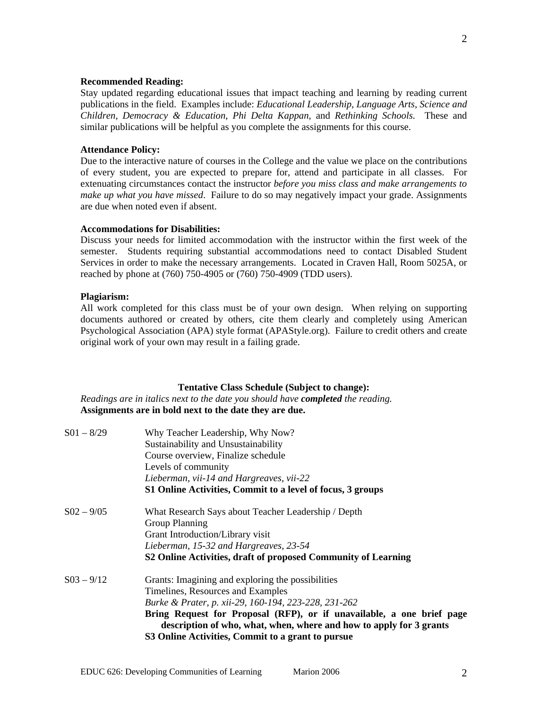## **Recommended Reading:**

Stay updated regarding educational issues that impact teaching and learning by reading current publications in the field. Examples include: *Educational Leadership, Language Arts, Science and Children, Democracy & Education, Phi Delta Kappan,* and *Rethinking Schools.* These and similar publications will be helpful as you complete the assignments for this course.

# **Attendance Policy:**

Due to the interactive nature of courses in the College and the value we place on the contributions of every student, you are expected to prepare for, attend and participate in all classes. For extenuating circumstances contact the instructor *before you miss class and make arrangements to make up what you have missed*. Failure to do so may negatively impact your grade. Assignments are due when noted even if absent.

#### **Accommodations for Disabilities:**

Discuss your needs for limited accommodation with the instructor within the first week of the semester. Students requiring substantial accommodations need to contact Disabled Student Services in order to make the necessary arrangements. Located in Craven Hall, Room 5025A, or reached by phone at (760) 750-4905 or (760) 750-4909 (TDD users).

## **Plagiarism:**

All work completed for this class must be of your own design. When relying on supporting documents authored or created by others, cite them clearly and completely using American Psychological Association (APA) style format (APAStyle.org). Failure to credit others and create original work of your own may result in a failing grade.

#### **Tentative Class Schedule (Subject to change):**

*Readings are in italics next to the date you should have completed the reading.* **Assignments are in bold next to the date they are due.** 

| $S(1 - 8/29)$   | Why Teacher Leadership, Why Now?                                                                                                             |
|-----------------|----------------------------------------------------------------------------------------------------------------------------------------------|
|                 | Sustainability and Unsustainability                                                                                                          |
|                 | Course overview, Finalize schedule                                                                                                           |
|                 | Levels of community                                                                                                                          |
|                 | Lieberman, vii-14 and Hargreaves, vii-22                                                                                                     |
|                 | S1 Online Activities, Commit to a level of focus, 3 groups                                                                                   |
| $S_{02} - 9/05$ | What Research Says about Teacher Leadership / Depth                                                                                          |
|                 | Group Planning                                                                                                                               |
|                 | Grant Introduction/Library visit                                                                                                             |
|                 | Lieberman, 15-32 and Hargreaves, 23-54                                                                                                       |
|                 | S2 Online Activities, draft of proposed Community of Learning                                                                                |
| $S(03 - 9/12)$  | Grants: Imagining and exploring the possibilities                                                                                            |
|                 | Timelines, Resources and Examples                                                                                                            |
|                 | Burke & Prater, p. xii-29, 160-194, 223-228, 231-262                                                                                         |
|                 | Bring Request for Proposal (RFP), or if unavailable, a one brief page<br>description of who, what, when, where and how to apply for 3 grants |
|                 | S3 Online Activities, Commit to a grant to pursue                                                                                            |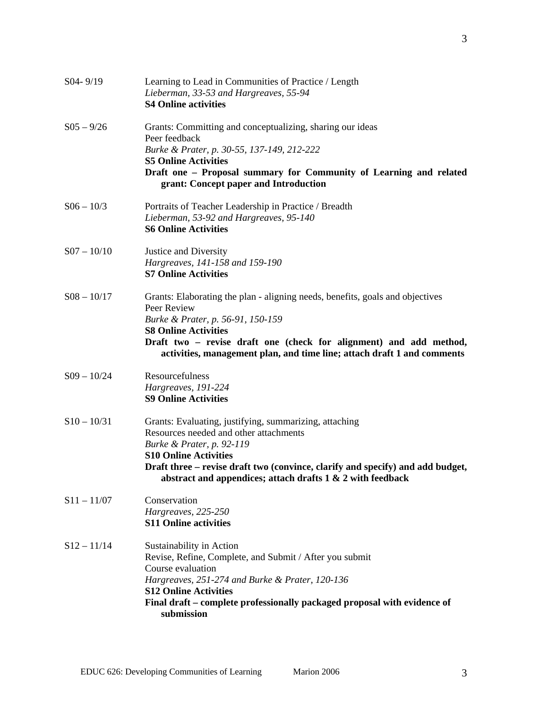| S04-9/19        | Learning to Lead in Communities of Practice / Length<br>Lieberman, 33-53 and Hargreaves, 55-94<br><b>S4 Online activities</b>                                                                                                                                                                                     |
|-----------------|-------------------------------------------------------------------------------------------------------------------------------------------------------------------------------------------------------------------------------------------------------------------------------------------------------------------|
| $S_{05} - 9/26$ | Grants: Committing and conceptualizing, sharing our ideas<br>Peer feedback<br>Burke & Prater, p. 30-55, 137-149, 212-222<br><b>S5 Online Activities</b><br>Draft one - Proposal summary for Community of Learning and related<br>grant: Concept paper and Introduction                                            |
| $S06 - 10/3$    | Portraits of Teacher Leadership in Practice / Breadth<br>Lieberman, 53-92 and Hargreaves, 95-140<br><b>S6 Online Activities</b>                                                                                                                                                                                   |
| $S07 - 10/10$   | Justice and Diversity<br>Hargreaves, 141-158 and 159-190<br><b>S7 Online Activities</b>                                                                                                                                                                                                                           |
| $S08 - 10/17$   | Grants: Elaborating the plan - aligning needs, benefits, goals and objectives<br>Peer Review<br>Burke & Prater, p. 56-91, 150-159<br><b>S8 Online Activities</b><br>Draft two - revise draft one (check for alignment) and add method,<br>activities, management plan, and time line; attach draft 1 and comments |
| $S09 - 10/24$   | Resourcefulness<br>Hargreaves, 191-224<br><b>S9 Online Activities</b>                                                                                                                                                                                                                                             |
| $S10 - 10/31$   | Grants: Evaluating, justifying, summarizing, attaching<br>Resources needed and other attachments<br>Burke & Prater, p. 92-119<br><b>S10 Online Activities</b><br>Draft three – revise draft two (convince, clarify and specify) and add budget,<br>abstract and appendices; attach drafts 1 & 2 with feedback     |
| $S11 - 11/07$   | Conservation<br>Hargreaves, 225-250<br><b>S11 Online activities</b>                                                                                                                                                                                                                                               |
| $S12 - 11/14$   | Sustainability in Action<br>Revise, Refine, Complete, and Submit / After you submit<br>Course evaluation<br>Hargreaves, 251-274 and Burke & Prater, 120-136<br><b>S12 Online Activities</b><br>Final draft – complete professionally packaged proposal with evidence of<br>submission                             |

3